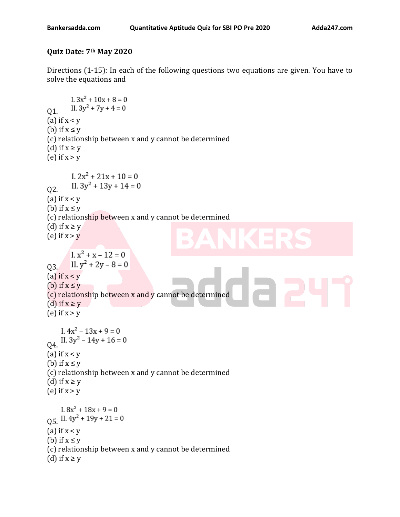**Quiz Date: 7th May 2020**

Directions (1-15): In each of the following questions two equations are given. You have to solve the equations and

```
I. 3x^2 + 10x + 8 = 0Q1. II. 3y^2 + 7y + 4 = 0(a) if x < y(b) if x \leq y(c) relationship between x and y cannot be determined 
(d) if x \ge y(e) if x > yI. 2x^2 + 21x + 10 = 0II. 3y^2 + 13y + 14 = 0Q2.
(a) if x < v(b) if x \leq y(c) relationship between x and y cannot be determined 
(d) if x \ge y(e) if x > yI. x^2 + x - 12 = 0II. y^2 + 2y - 8 = 0Q3.
(a) if x < y(b) if x \leq v(c) relationship between x and y cannot be determined 
(d) if x \ge y(e) if x > yI. 4x^2 - 13x + 9 = 0Q4. II. 3y^2 - 14y + 16 = 0(a) if x < y(b) if x \leq v(c) relationship between x and y cannot be determined 
(d) if x \ge y(e) if x > yI. 8x^2 + 18x + 9 = 0Q5. II. 4y^2 + 19y + 21 = 0(a) if x < y(b) if x \leq y(c) relationship between x and y cannot be determined 
(d) if x \geq y
```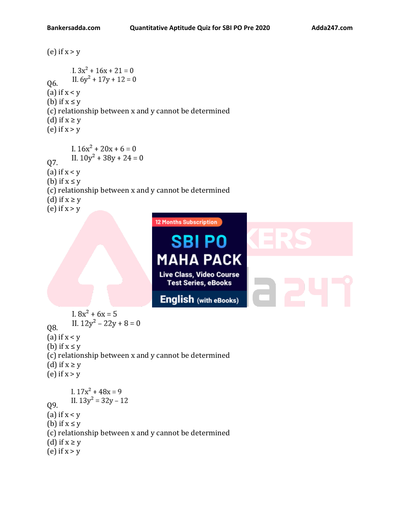(e) if  $x > y$  $1.3x^2 + 16x + 21 = 0$ II.  $6y^2 + 17y + 12 = 0$ Q6. (a) if  $x < y$ (b) if  $x \leq y$ (c) relationship between x and y cannot be determined (d) if  $x \ge y$ (e) if  $x > y$ I.  $16x^2 + 20x + 6 = 0$ 07. II.  $10y^2 + 38y + 24 = 0$ (a) if  $x < y$ (b) if  $x \leq y$ (c) relationship between x and y cannot be determined (d) if  $x \ge y$ (e) if  $x > y$ **12 Months Subscription SBI PO MAHA PACK** Live Class, Video Course **Test Series, eBooks English** (with eBooks) I.  $8x^2 + 6x = 5$ II.  $12y^2 - 22y + 8 = 0$ Q8. (a) if  $x < y$ (b) if  $x \leq y$ (c) relationship between x and y cannot be determined (d) if  $x \ge y$ (e) if  $x > y$ I.  $17x^2 + 48x = 9$ II.  $13y^2 = 32y - 12$ Q9. (a) if  $x < y$ (b) if  $x \leq y$ (c) relationship between x and y cannot be determined (d) if  $x \geq y$ (e) if  $x > y$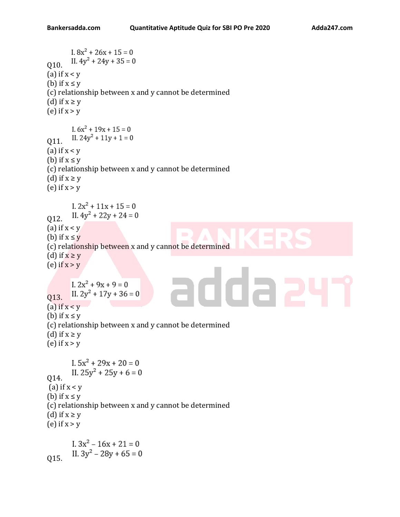```
I. 8x^2 + 26x + 15 = 0II. 4y^2 + 24y + 35 = 0Q10.
(a) if x < y(b) if x \leq y(c) relationship between x and y cannot be determined 
(d) if x \geq y(e) if x > yI. 6x^2 + 19x + 15 = 0II. 24y^2 + 11y + 1 = 0011.
(a) if x < y(b) if x \leq y(c) relationship between x and y cannot be determined 
(d) if x \geq y(e) if x > yI. 2x^2 + 11x + 15 = 0II. 4y^2 + 22y + 24 = 0Q12.
(a) if x < y(b) if x \le y(c) relationship between x and y cannot be determined 
(d) if x \ge y(e) if x > yrdda a
       I. 2x^2 + 9x + 9 = 0II. 2y^2 + 17y + 36 = 0013.
(a) if x < y(b) if x \leq y(c) relationship between x and y cannot be determined 
(d) if x \ge y(e) if x > yI. 5x^2 + 29x + 20 = 0II. 25y^2 + 25y + 6 = 0Q14.
(a) if x < y(b) if x \leq y(c) relationship between x and y cannot be determined 
(d) if x \ge y(e) if x > yI. 3x^2 - 16x + 21 = 0II. 3y^2 - 28y + 65 = 0Q15.
```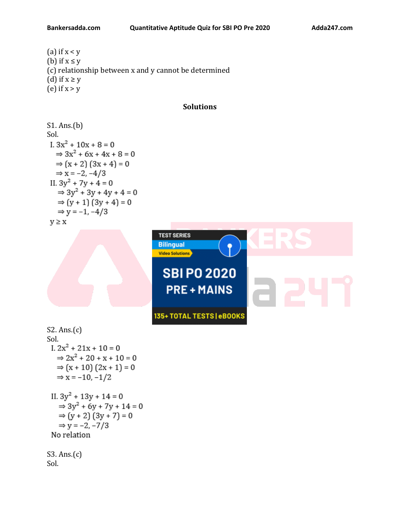## **Bankersadda.com Quantitative Aptitude Quiz for SBI PO Pre 2020 Adda247.com**

(a) if  $x < y$ (b) if  $x \leq y$ (c) relationship between x and y cannot be determined (d) if  $x \ge y$ (e) if  $x > y$ 

## **Solutions**

```
S1. Ans.(b)
Sol.
I. 3x^2 + 10x + 8 = 0\Rightarrow 3x^2 + 6x + 4x + 8 = 0\Rightarrow (x + 2) (3x + 4) = 0
   \Rightarrow x = -2, -4/3
II. 3y^2 + 7y + 4 = 0\Rightarrow 3y^2 + 3y + 4y + 4 = 0\Rightarrow (y + 1) (3y + 4) = 0
   \Rightarrow y = -1, -4/3
y \geq x
```


S2. Ans.(c) Sol.<br>I.  $2x^2 + 21x + 10 = 0$  $\Rightarrow$  2x<sup>2</sup> + 20 + x + 10 = 0  $\Rightarrow$  (x + 10) (2x + 1) = 0  $\Rightarrow$  x = -10, -1/2 II.  $3y^2 + 13y + 14 = 0$  $\Rightarrow$  3y<sup>2</sup> + 6y + 7y + 14 = 0  $\Rightarrow$  (y + 2) (3y + 7) = 0  $\Rightarrow$  y = -2, -7/3 No relation S3. Ans.(c)

Sol.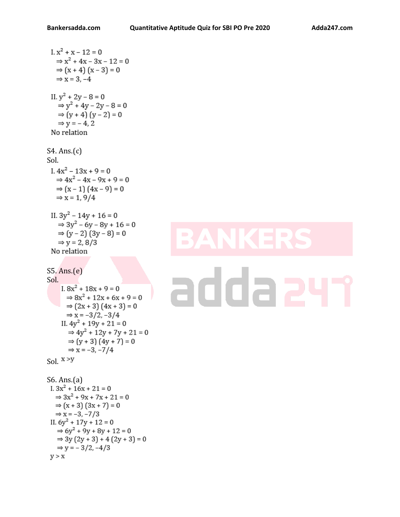```
1. x<sup>2</sup> + x - 12 = 0\Rightarrow x<sup>2</sup> + 4x - 3x - 12 = 0
    \Rightarrow (x + 4) (x - 3) = 0\Rightarrow x = 3, -4
 II. y^2 + 2y - 8 = 0\Rightarrow y^2 + 4y - 2y - 8 = 0\Rightarrow (y + 4) (y - 2) = 0
    \Rightarrow y = -4, 2
 No relation
S4. Ans.(c)
Sol.
 I. 4x^2 - 13x + 9 = 0\Rightarrow 4x^2 - 4x - 9x + 9 = 0\Rightarrow (x – 1) (4x – 9) = 0
    \Rightarrow x = 1, 9/4
 II. 3y^2 - 14y + 16 = 0\Rightarrow 3y<sup>2</sup> - 6y - 8y + 16 = 0
    \Rightarrow (y - 2) (3y - 8) = 0
    \Rightarrow y = 2, 8/3
 No relation
S5. Ans.(e)
Sol.
      I. 8x^2 + 18x + 9 = 0\Rightarrow 8x^2 + 12x + 6x + 9 = 0\Rightarrow (2x + 3) (4x + 3) = 0
        \Rightarrow x = -3/2, -3/4
      II. 4y^2 + 19y + 21 = 0\Rightarrow 4y<sup>2</sup> + 12y + 7y + 21 = 0
         \Rightarrow (y + 3) (4y + 7) = 0
         \Rightarrow x = -3, -7/4
Sol. X > YS6. Ans.(a)<br>1.3x^2 + 16x + 21 = 0\Rightarrow 3x^2 + 9x + 7x + 21 = 0\Rightarrow (x + 3) (3x + 7) = 0
   \Rightarrow x = -3, -7/3
 II. 6y^2 + 17y + 12 = 0
```
 $\Rightarrow$  6y<sup>2</sup> + 9y + 8y + 12 = 0  $\Rightarrow$  3y (2y + 3) + 4 (2y + 3) = 0

 $\Rightarrow$  y = -3/2, -4/3

 $y > x$ 

## ria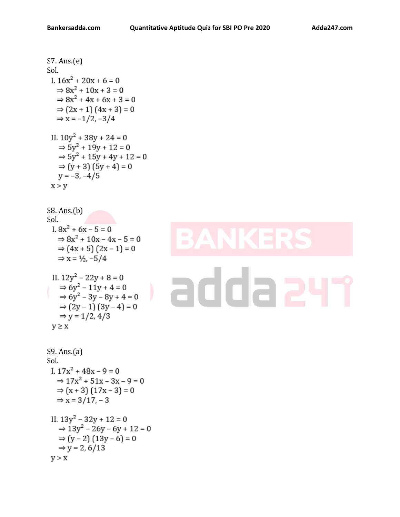S7. Ans.(e)  
\nSol.  
\nI. 
$$
16x^2 + 20x + 6 = 0
$$
  
\n⇒  $8x^2 + 10x + 3 = 0$   
\n⇒  $8x^2 + 4x + 6x + 3 = 0$   
\n⇒  $(2x + 1) (4x + 3) = 0$   
\n⇒  $x = -1/2, -3/4$   
\nII.  $10y^2 + 38y + 24 = 0$   
\n⇒  $5y^2 + 19y + 12 = 0$   
\n⇒  $5y^2 + 15y + 4y + 12 = 0$   
\n⇒  $(y + 3) (5y + 4) = 0$   
\n $y = -3, -4/5$   
\n $x > y$ 

S8. Ans.(b)  
\nSol.  
\nI. 
$$
8x^2 + 6x - 5 = 0
$$
  
\n⇒  $8x^2 + 10x - 4x - 5 = 0$   
\n⇒  $(4x + 5)(2x - 1) = 0$   
\n⇒  $x = \frac{1}{2}, -5/4$   
\nII.  $12y^2 - 22y + 8 = 0$   
\n⇒  $6y^2 - 11y + 4 = 0$   
\n⇒  $6y^2 - 3y - 8y + 4 = 0$   
\n⇒  $(2y - 1)(3y - 4) = 0$   
\n⇒  $y = 1/2, 4/3$   
\n $y \ge x$   
\nS9. Ans.(a)

Sol.

\nI. 
$$
17x^2 + 48x - 9 = 0
$$

\n $\Rightarrow 17x^2 + 51x - 3x - 9 = 0$ 

\n $\Rightarrow (x + 3)(17x - 3) = 0$ 

\n $\Rightarrow x = 3/17, -3$ 

\nII.  $13y^2 - 32y + 12 = 0$ 

\n $\Rightarrow 13y^2 - 26y - 6y + 12 = 0$ 

\n $\Rightarrow (y - 2)(13y - 6) = 0$ 

\n $\Rightarrow y = 2, 6/13$ 

\n $y > x$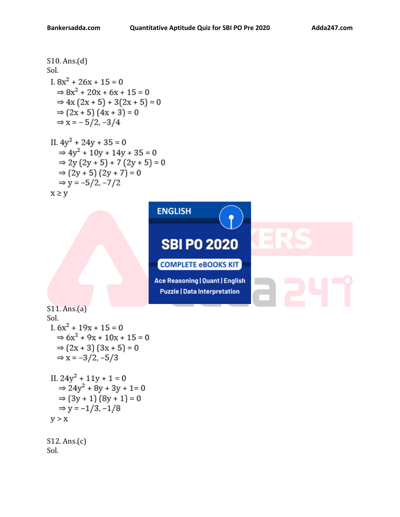Sol.

S10. Ans.(d) Sol. S11. Ans.(a) Sol. S12. Ans.(c)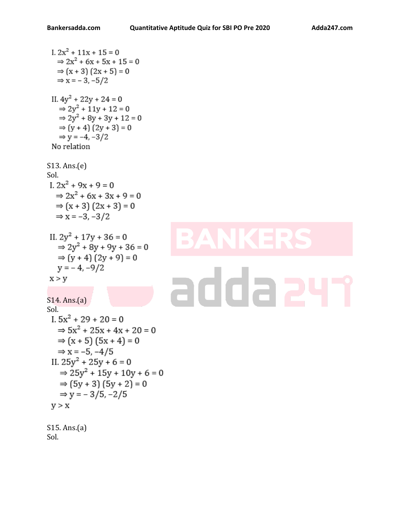Sol.

```
I. 2x^2 + 11x + 15 = 0\Rightarrow 2x<sup>2</sup> + 6x + 5x + 15 = 0
   \Rightarrow (x + 3) (2x + 5) = 0
   \Rightarrow x = -3, -5/2
 II. 4y^2 + 22y + 24 = 0\Rightarrow 2y<sup>2</sup> + 11y + 12 = 0
    \Rightarrow 2y<sup>2</sup> + 8y + 3y + 12 = 0
    \Rightarrow (y + 4) (2y + 3) = 0
    \Rightarrow y = -4, -3/2
 No relation
S13. Ans.(e)
Sol.
I. 2x^2 + 9x + 9 = 0\Rightarrow 2x^2 + 6x + 3x + 9 = 0\Rightarrow (x + 3) (2x + 3) = 0
   \Rightarrow x = -3, -3/2
II. 2y^2 + 17y + 36 = 0\Rightarrow 2y<sup>2</sup> + 8y + 9y + 36 = 0
   \Rightarrow (y + 4) (2y + 9) = 0
   y = -4, -9/2addaa
 x > yS14. Ans.(a)
Sol.<br>I. 5x^2 + 29 + 20 = 0\Rightarrow 5x<sup>2</sup> + 25x + 4x + 20 = 0
   \Rightarrow (x + 5) (5x + 4) = 0
   \Rightarrow x = -5, -4/5
 II. 25y^2 + 25y + 6 = 0\Rightarrow 25y<sup>2</sup> + 15y + 10y + 6 = 0
    \Rightarrow (5y + 3) (5y + 2) = 0
    \Rightarrow y = -3/5, -2/5
 y > xS15. Ans.(a)
```